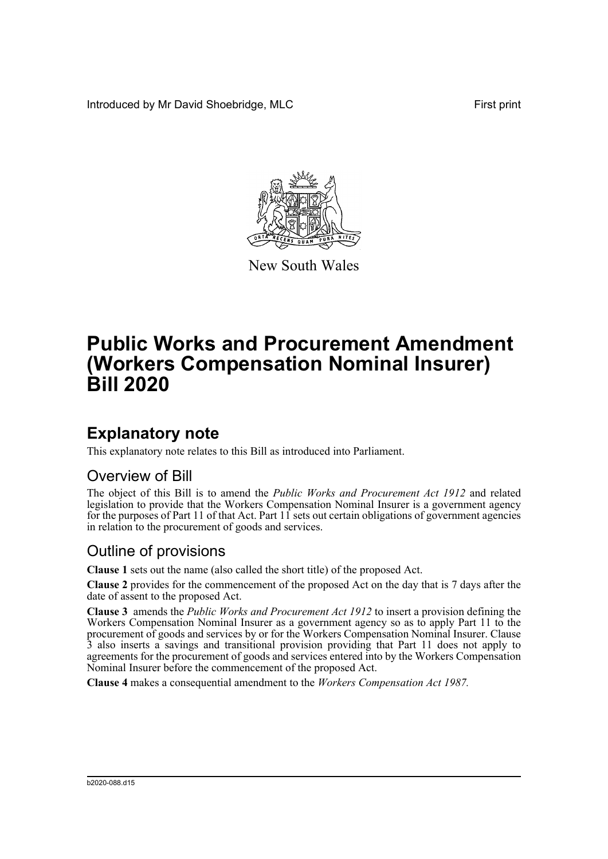Introduced by Mr David Shoebridge, MLC **First print** 



New South Wales

# **Public Works and Procurement Amendment (Workers Compensation Nominal Insurer) Bill 2020**

### **Explanatory note**

This explanatory note relates to this Bill as introduced into Parliament.

#### Overview of Bill

The object of this Bill is to amend the *Public Works and Procurement Act 1912* and related legislation to provide that the Workers Compensation Nominal Insurer is a government agency for the purposes of Part 11 of that Act. Part 11 sets out certain obligations of government agencies in relation to the procurement of goods and services.

#### Outline of provisions

**Clause 1** sets out the name (also called the short title) of the proposed Act.

**Clause 2** provides for the commencement of the proposed Act on the day that is 7 days after the date of assent to the proposed Act.

**Clause 3** amends the *Public Works and Procurement Act 1912* to insert a provision defining the Workers Compensation Nominal Insurer as a government agency so as to apply Part 11 to the procurement of goods and services by or for the Workers Compensation Nominal Insurer. Clause 3 also inserts a savings and transitional provision providing that Part 11 does not apply to agreements for the procurement of goods and services entered into by the Workers Compensation Nominal Insurer before the commencement of the proposed Act.

**Clause 4** makes a consequential amendment to the *Workers Compensation Act 1987.*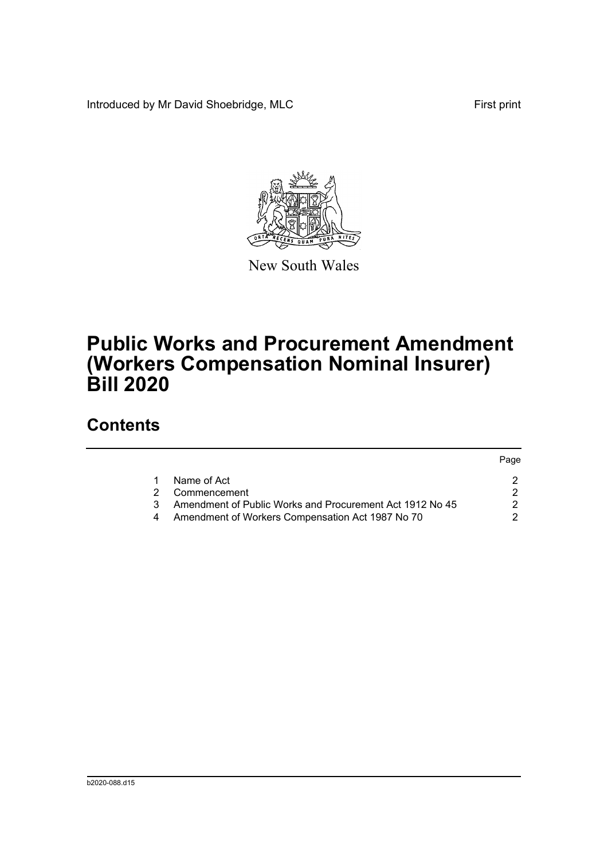Introduced by Mr David Shoebridge, MLC First print



New South Wales

## **Public Works and Procurement Amendment (Workers Compensation Nominal Insurer) Bill 2020**

#### **Contents**

|   |                                                          | Page |
|---|----------------------------------------------------------|------|
|   | Name of Act                                              |      |
| 2 | Commencement                                             |      |
| 3 | Amendment of Public Works and Procurement Act 1912 No 45 |      |
|   | Amendment of Workers Compensation Act 1987 No 70         |      |
|   |                                                          |      |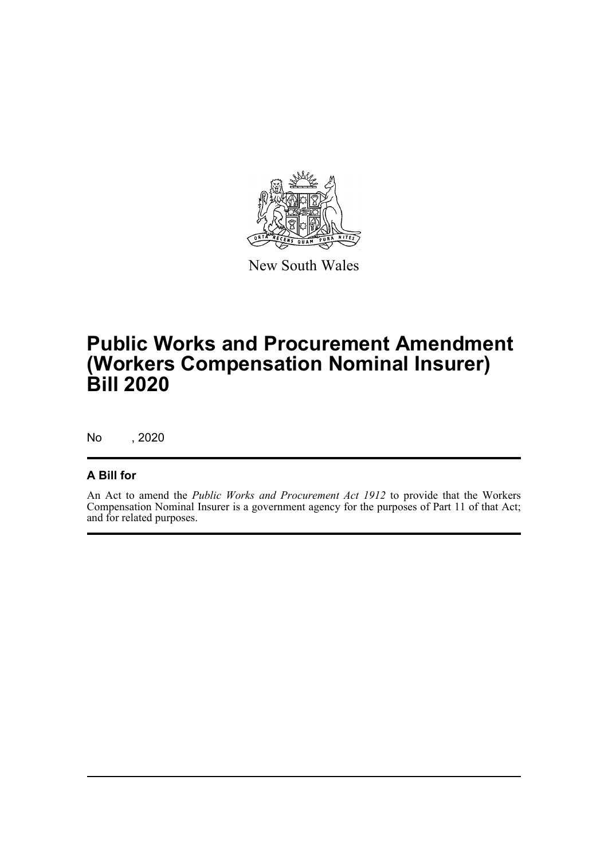

New South Wales

## **Public Works and Procurement Amendment (Workers Compensation Nominal Insurer) Bill 2020**

No , 2020

#### **A Bill for**

An Act to amend the *Public Works and Procurement Act 1912* to provide that the Workers Compensation Nominal Insurer is a government agency for the purposes of Part 11 of that Act; and for related purposes.